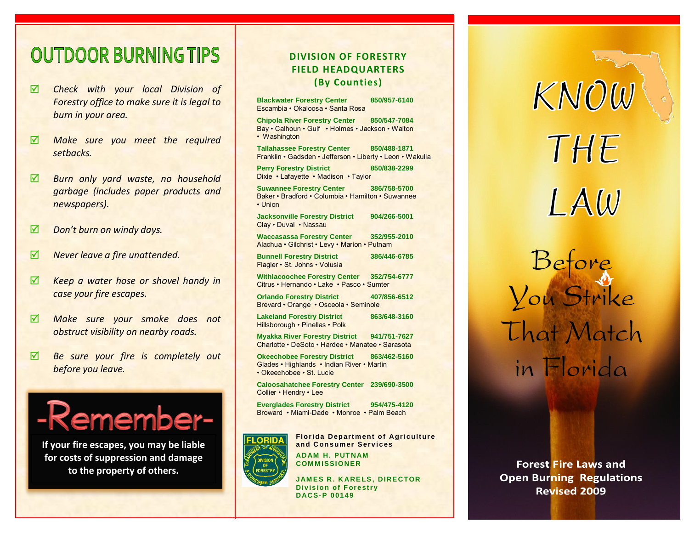## **OUTDOOR BURNING TIPS**

- *Check with your local Division of Forestry office to make sure it is legal to burn in your area.*
- *Make sure you meet the required setbacks.*
- *Burn only yard waste, no household garbage (includes paper products and newspapers).*
- *Don't burn on windy days.*
- *M Never leave a fire unattended.*
- *Keep a water hose or shovel handy in case your fire escapes.*
- *Make sure your smoke does not obstruct visibility on nearby roads.*
- *Be sure your fire is completely out before you leave.*



**If your fire escapes, you may be liable for costs of suppression and damage to the property of others.**

#### **DIVISION OF FORESTRY FIELD HEADQUARTERS (By Counties)**

| <b>Blackwater Forestry Center</b><br>850/957-6140<br>Escambia · Okaloosa · Santa Rosa                                 |  |
|-----------------------------------------------------------------------------------------------------------------------|--|
| Chipola River Forestry Center 850/547-7084<br>Bay · Calhoun · Gulf · Holmes · Jackson · Walton<br>• Washington        |  |
| <b>Tallahassee Forestry Center</b><br>850/488-1871<br>Franklin • Gadsden • Jefferson • Liberty • Leon • Wakulla       |  |
| <b>Perry Forestry District</b><br>850/838-2299<br>Dixie • Lafayette • Madison • Taylor                                |  |
| <b>Suwannee Forestry Center</b><br>386/758-5700<br>Baker • Bradford • Columbia • Hamilton • Suwannee<br>$\cdot$ Union |  |
| <b>Jacksonville Forestry District</b><br>904/266-5001<br>Clay . Duval . Nassau                                        |  |
| <b>Waccasassa Forestry Center</b><br>352/955-2010<br>Alachua · Gilchrist · Levy · Marion · Putnam                     |  |
| <b>Bunnell Forestry District</b><br>386/446-6785<br>Flagler · St. Johns · Volusia                                     |  |
| Withlacoochee Forestry Center 352/754-6777<br>Citrus • Hernando • Lake • Pasco • Sumter                               |  |
| <b>Orlando Forestry District</b><br>407/856-6512<br>Brevard • Orange • Osceola • Seminole                             |  |
| <b>Lakeland Forestry District</b><br>863/648-3160<br>Hillsborough . Pinellas . Polk                                   |  |
| Myakka River Forestry District 941/751-7627<br>Charlotte • DeSoto • Hardee • Manatee • Sarasota                       |  |
| Okeechobee Forestry District 863/462-5160<br>Glades • Highlands • Indian River • Martin<br>• Okeechobee • St. Lucie   |  |
| Caloosahatchee Forestry Center 239/690-3500<br>Collier • Hendry • Lee                                                 |  |
| <b>Everglades Forestry District</b><br>954/475-4120<br>Broward • Miami-Dade • Monroe • Palm Beach                     |  |
|                                                                                                                       |  |



**Florida Department of Agriculture an d C on s um er S erv i c es ADAM H. PUT NAM**

**JAMES R. KARELS, DIRECTOR Division of Forestry DACS-P 0 01 4 9**

**COM M ISSI ONER**

# KNOW THE LAW Before<br>Vou Strike That Match in Florida

**Forest Fire Laws and Open Burning Regulations Revised 2009**